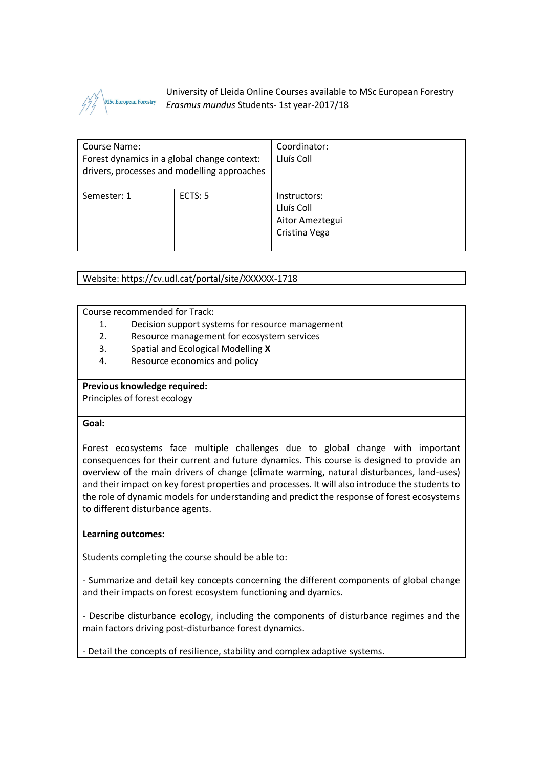

University of Lleida Online Courses available to MSc European Forestry *Erasmus mundus* Students- 1st year-2017/18

| Course Name:<br>Forest dynamics in a global change context:<br>drivers, processes and modelling approaches |         | Coordinator:<br>Lluís Coll                                     |
|------------------------------------------------------------------------------------------------------------|---------|----------------------------------------------------------------|
| Semester: 1                                                                                                | ECTS: 5 | Instructors:<br>Lluís Coll<br>Aitor Ameztegui<br>Cristina Vega |

Website: https://cv.udl.cat/portal/site/XXXXXX-1718

Course recommended for Track:

- 1. Decision support systems for resource management
- 2. Resource management for ecosystem services
- 3. Spatial and Ecological Modelling **X**
- 4. Resource economics and policy

#### **Previous knowledge required:**

Principles of forest ecology

## **Goal:**

Forest ecosystems face multiple challenges due to global change with important consequences for their current and future dynamics. This course is designed to provide an overview of the main drivers of change (climate warming, natural disturbances, land-uses) and their impact on key forest properties and processes. It will also introduce the students to the role of dynamic models for understanding and predict the response of forest ecosystems to different disturbance agents.

# **Learning outcomes:**

Students completing the course should be able to:

- Summarize and detail key concepts concerning the different components of global change and their impacts on forest ecosystem functioning and dyamics.

- Describe disturbance ecology, including the components of disturbance regimes and the main factors driving post-disturbance forest dynamics.

- Detail the concepts of resilience, stability and complex adaptive systems.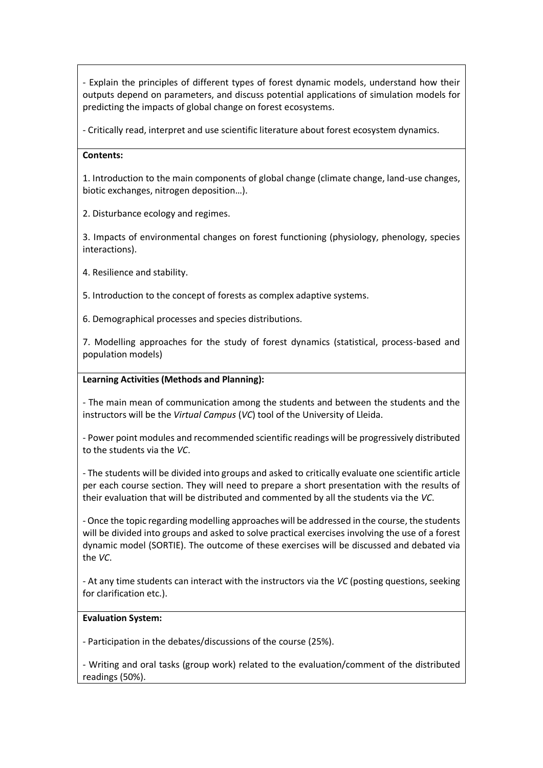- Explain the principles of different types of forest dynamic models, understand how their outputs depend on parameters, and discuss potential applications of simulation models for predicting the impacts of global change on forest ecosystems.

- Critically read, interpret and use scientific literature about forest ecosystem dynamics.

# **Contents:**

1. Introduction to the main components of global change (climate change, land-use changes, biotic exchanges, nitrogen deposition…).

2. Disturbance ecology and regimes.

3. Impacts of environmental changes on forest functioning (physiology, phenology, species interactions).

4. Resilience and stability.

5. Introduction to the concept of forests as complex adaptive systems.

6. Demographical processes and species distributions.

7. Modelling approaches for the study of forest dynamics (statistical, process-based and population models)

# **Learning Activities (Methods and Planning):**

- The main mean of communication among the students and between the students and the instructors will be the *Virtual Campus* (*VC*) tool of the University of Lleida.

- Power point modules and recommended scientific readings will be progressively distributed to the students via the *VC*.

- The students will be divided into groups and asked to critically evaluate one scientific article per each course section. They will need to prepare a short presentation with the results of their evaluation that will be distributed and commented by all the students via the *VC*.

- Once the topic regarding modelling approaches will be addressed in the course, the students will be divided into groups and asked to solve practical exercises involving the use of a forest dynamic model (SORTIE). The outcome of these exercises will be discussed and debated via the *VC*.

- At any time students can interact with the instructors via the *VC* (posting questions, seeking for clarification etc.).

#### **Evaluation System:**

- Participation in the debates/discussions of the course (25%).

- Writing and oral tasks (group work) related to the evaluation/comment of the distributed readings (50%).